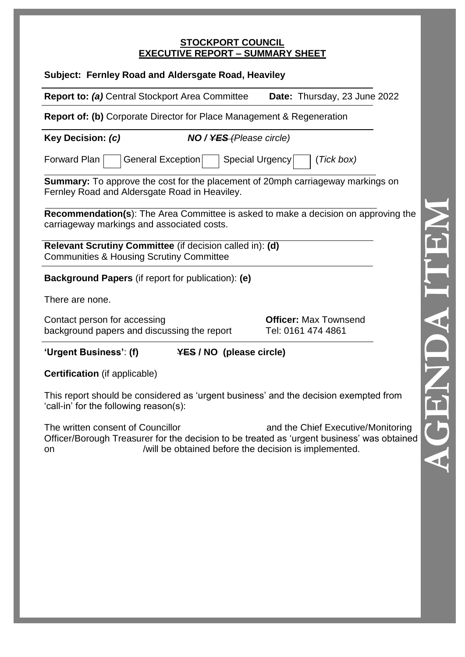#### **STOCKPORT COUNCIL EXECUTIVE REPORT – SUMMARY SHEET**

| Subject: Fernley Road and Aldersgate Road, Heaviley                                                                                     |                                             |                                                    |  |
|-----------------------------------------------------------------------------------------------------------------------------------------|---------------------------------------------|----------------------------------------------------|--|
| <b>Report to: (a)</b> Central Stockport Area Committee                                                                                  |                                             | Date: Thursday, 23 June 2022                       |  |
| <b>Report of: (b)</b> Corporate Director for Place Management & Regeneration                                                            |                                             |                                                    |  |
| Key Decision: (c)                                                                                                                       | <b>NO / <del>YES (</del>Please circle</b> ) |                                                    |  |
| Forward Plan<br>General Exception<br>Special Urgency<br>(Tick box)                                                                      |                                             |                                                    |  |
| <b>Summary:</b> To approve the cost for the placement of 20mph carriageway markings on<br>Fernley Road and Aldersgate Road in Heaviley. |                                             |                                                    |  |
| Recommendation(s): The Area Committee is asked to make a decision on approving the<br>carriageway markings and associated costs.        |                                             |                                                    |  |
| Relevant Scrutiny Committee (if decision called in): (d)<br><b>Communities &amp; Housing Scrutiny Committee</b>                         |                                             |                                                    |  |
| <b>Background Papers</b> (if report for publication): (e)                                                                               |                                             |                                                    |  |
| There are none.                                                                                                                         |                                             |                                                    |  |
| Contact person for accessing<br>background papers and discussing the report                                                             |                                             | <b>Officer: Max Townsend</b><br>Tel: 0161 474 4861 |  |
| 'Urgent Business': (f)                                                                                                                  | <b>YES / NO (please circle)</b>             |                                                    |  |
| <b>Certification</b> (if applicable)                                                                                                    |                                             |                                                    |  |
| This report should be considered as 'urgent business' and the decision exempted from<br>'call-in' for the following reason(s):          |                                             |                                                    |  |

The written consent of Councillor **and the Chief Executive/Monitoring** Officer/Borough Treasurer for the decision to be treated as 'urgent business' was obtained on /will be obtained before the decision is implemented.